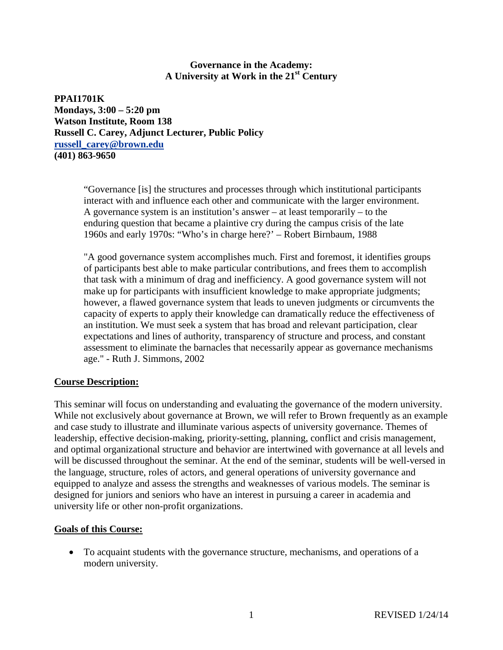### **Governance in the Academy: A University at Work in the 21st Century**

**PPAI1701K Mondays, 3:00 – 5:20 pm Watson Institute, Room 138 Russell C. Carey, Adjunct Lecturer, Public Policy [russell\\_carey@brown.edu](mailto:russell_carey@brown.edu) (401) 863-9650**

> "Governance [is] the structures and processes through which institutional participants interact with and influence each other and communicate with the larger environment. A governance system is an institution's answer – at least temporarily – to the enduring question that became a plaintive cry during the campus crisis of the late 1960s and early 1970s: "Who's in charge here?' – Robert Birnbaum, 1988

"A good governance system accomplishes much. First and foremost, it identifies groups of participants best able to make particular contributions, and frees them to accomplish that task with a minimum of drag and inefficiency. A good governance system will not make up for participants with insufficient knowledge to make appropriate judgments; however, a flawed governance system that leads to uneven judgments or circumvents the capacity of experts to apply their knowledge can dramatically reduce the effectiveness of an institution. We must seek a system that has broad and relevant participation, clear expectations and lines of authority, transparency of structure and process, and constant assessment to eliminate the barnacles that necessarily appear as governance mechanisms age." - Ruth J. Simmons, 2002

### **Course Description:**

This seminar will focus on understanding and evaluating the governance of the modern university. While not exclusively about governance at Brown, we will refer to Brown frequently as an example and case study to illustrate and illuminate various aspects of university governance. Themes of leadership, effective decision-making, priority-setting, planning, conflict and crisis management, and optimal organizational structure and behavior are intertwined with governance at all levels and will be discussed throughout the seminar. At the end of the seminar, students will be well-versed in the language, structure, roles of actors, and general operations of university governance and equipped to analyze and assess the strengths and weaknesses of various models. The seminar is designed for juniors and seniors who have an interest in pursuing a career in academia and university life or other non-profit organizations.

### **Goals of this Course:**

• To acquaint students with the governance structure, mechanisms, and operations of a modern university.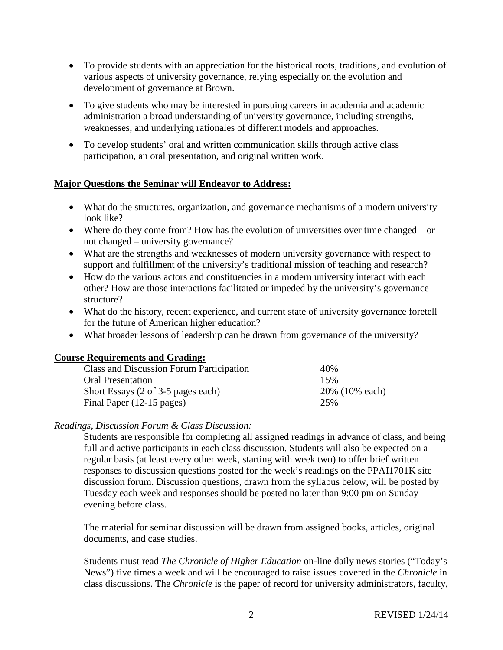- To provide students with an appreciation for the historical roots, traditions, and evolution of various aspects of university governance, relying especially on the evolution and development of governance at Brown.
- To give students who may be interested in pursuing careers in academia and academic administration a broad understanding of university governance, including strengths, weaknesses, and underlying rationales of different models and approaches.
- To develop students' oral and written communication skills through active class participation, an oral presentation, and original written work.

### **Major Questions the Seminar will Endeavor to Address:**

- What do the structures, organization, and governance mechanisms of a modern university look like?
- Where do they come from? How has the evolution of universities over time changed or not changed – university governance?
- What are the strengths and weaknesses of modern university governance with respect to support and fulfillment of the university's traditional mission of teaching and research?
- How do the various actors and constituencies in a modern university interact with each other? How are those interactions facilitated or impeded by the university's governance structure?
- What do the history, recent experience, and current state of university governance foretell for the future of American higher education?
- What broader lessons of leadership can be drawn from governance of the university?

### **Course Requirements and Grading:**

| Class and Discussion Forum Participation | 40%            |
|------------------------------------------|----------------|
| <b>Oral Presentation</b>                 | 15%            |
| Short Essays (2 of 3-5 pages each)       | 20% (10% each) |
| Final Paper (12-15 pages)                | 25%            |

### *Readings, Discussion Forum & Class Discussion:*

Students are responsible for completing all assigned readings in advance of class, and being full and active participants in each class discussion. Students will also be expected on a regular basis (at least every other week, starting with week two) to offer brief written responses to discussion questions posted for the week's readings on the PPAI1701K site discussion forum. Discussion questions, drawn from the syllabus below, will be posted by Tuesday each week and responses should be posted no later than 9:00 pm on Sunday evening before class.

The material for seminar discussion will be drawn from assigned books, articles, original documents, and case studies.

Students must read *The Chronicle of Higher Education* on-line daily news stories ("Today's News") five times a week and will be encouraged to raise issues covered in the *Chronicle* in class discussions. The *Chronicle* is the paper of record for university administrators, faculty,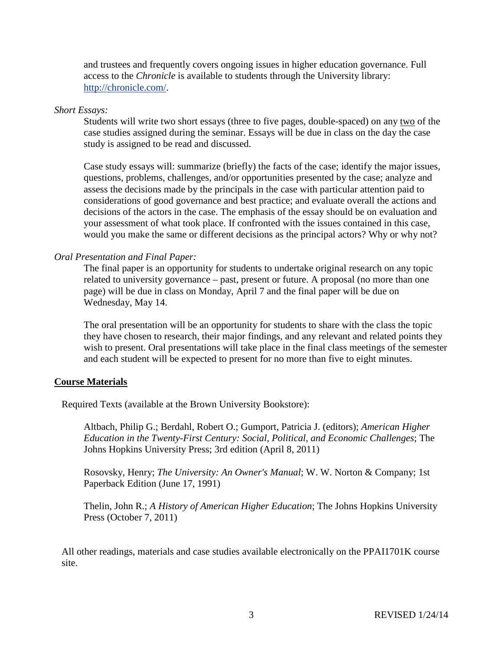and trustees and frequently covers ongoing issues in higher education governance. Full access to the *Chronicle* is available to students through the University library: [http://chronicle.com/.](http://chronicle.com/)

#### *Short Essays:*

Students will write two short essays (three to five pages, double-spaced) on any two of the case studies assigned during the seminar. Essays will be due in class on the day the case study is assigned to be read and discussed.

Case study essays will: summarize (briefly) the facts of the case; identify the major issues, questions, problems, challenges, and/or opportunities presented by the case; analyze and assess the decisions made by the principals in the case with particular attention paid to considerations of good governance and best practice; and evaluate overall the actions and decisions of the actors in the case. The emphasis of the essay should be on evaluation and your assessment of what took place. If confronted with the issues contained in this case, would you make the same or different decisions as the principal actors? Why or why not?

# *Oral Presentation and Final Paper:*

The final paper is an opportunity for students to undertake original research on any topic related to university governance – past, present or future. A proposal (no more than one page) will be due in class on Monday, April 7 and the final paper will be due on Wednesday, May 14.

The oral presentation will be an opportunity for students to share with the class the topic they have chosen to research, their major findings, and any relevant and related points they wish to present. Oral presentations will take place in the final class meetings of the semester and each student will be expected to present for no more than five to eight minutes.

### **Course Materials**

Required Texts (available at the Brown University Bookstore):

Altbach, Philip G.; Berdahl, Robert O.; Gumport, Patricia J. (editors); *American Higher Education in the Twenty-First Century: Social, Political, and Economic Challenges*; The Johns Hopkins University Press; 3rd edition (April 8, 2011)

Rosovsky, Henry; *The University: An Owner's Manual*; W. W. Norton & Company; 1st Paperback Edition (June 17, 1991)

Thelin, John R.; *A History of American Higher Education*; The Johns Hopkins University Press (October 7, 2011)

All other readings, materials and case studies available electronically on the PPAI1701K course site.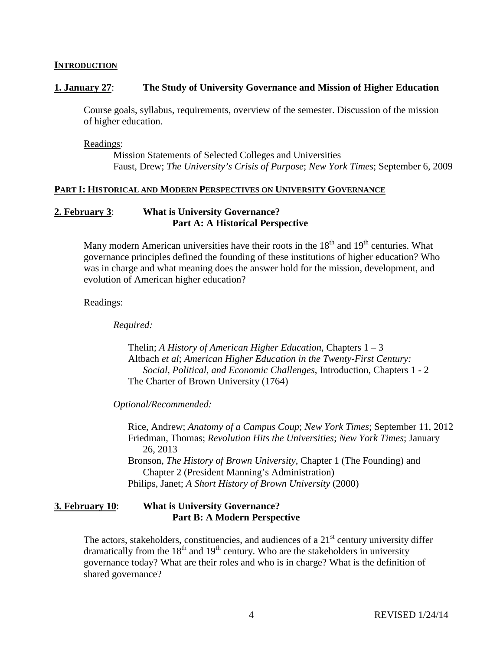#### **INTRODUCTION**

### **1. January 27**: **The Study of University Governance and Mission of Higher Education**

Course goals, syllabus, requirements, overview of the semester. Discussion of the mission of higher education.

Readings:

Mission Statements of Selected Colleges and Universities Faust, Drew; *The University's Crisis of Purpose*; *New York Times*; September 6, 2009

#### **PART I: HISTORICAL AND MODERN PERSPECTIVES ON UNIVERSITY GOVERNANCE**

## **2. February 3**: **What is University Governance? Part A: A Historical Perspective**

Many modern American universities have their roots in the  $18<sup>th</sup>$  and  $19<sup>th</sup>$  centuries. What governance principles defined the founding of these institutions of higher education? Who was in charge and what meaning does the answer hold for the mission, development, and evolution of American higher education?

### Readings:

*Required:*

Thelin; *A History of American Higher Education*, Chapters 1 – 3 Altbach *et al*; *American Higher Education in the Twenty-First Century: Social, Political, and Economic Challenges*, Introduction, Chapters 1 - 2 The Charter of Brown University (1764)

*Optional/Recommended:*

Rice, Andrew; *Anatomy of a Campus Coup*; *New York Times*; September 11, 2012 Friedman, Thomas; *Revolution Hits the Universities*; *New York Times*; January 26, 2013 Bronson, *The History of Brown University*, Chapter 1 (The Founding) and Chapter 2 (President Manning's Administration) Philips, Janet; *A Short History of Brown University* (2000)

# **3. February 10**: **What is University Governance? Part B: A Modern Perspective**

The actors, stakeholders, constituencies, and audiences of a  $21<sup>st</sup>$  century university differ dramatically from the  $18<sup>th</sup>$  and  $19<sup>th</sup>$  century. Who are the stakeholders in university governance today? What are their roles and who is in charge? What is the definition of shared governance?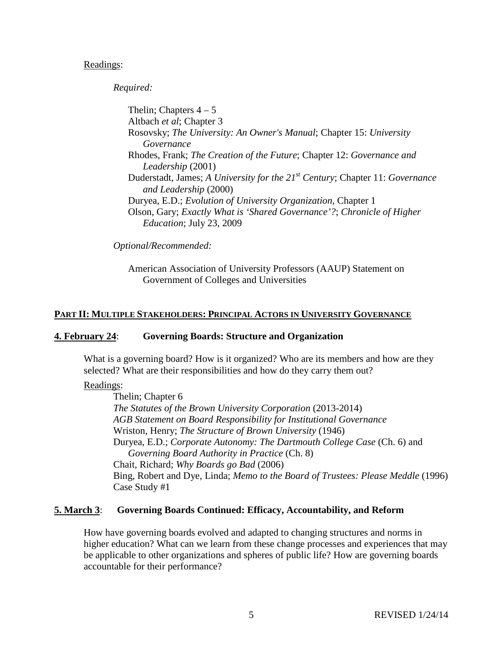#### Readings:

*Required:*

Thelin; Chapters  $4-5$ Altbach *et al*; Chapter 3 Rosovsky; *The University: An Owner's Manual*; Chapter 15: *University Governance* Rhodes, Frank; *The Creation of the Future*; Chapter 12: *Governance and Leadership* (2001) Duderstadt, James; *A University for the 21st Century*; Chapter 11: *Governance and Leadership* (2000) Duryea, E.D.; *Evolution of University Organization*, Chapter 1 Olson, Gary; *Exactly What is 'Shared Governance'?*; *Chronicle of Higher Education*; July 23, 2009

*Optional/Recommended:*

American Association of University Professors (AAUP) Statement on Government of Colleges and Universities

# **PART II: MULTIPLE STAKEHOLDERS: PRINCIPAL ACTORS IN UNIVERSITY GOVERNANCE**

### **4. February 24**: **Governing Boards: Structure and Organization**

What is a governing board? How is it organized? Who are its members and how are they selected? What are their responsibilities and how do they carry them out?

### Readings:

Thelin; Chapter 6 *The Statutes of the Brown University Corporation* (2013-2014) *AGB Statement on Board Responsibility for Institutional Governance* Wriston, Henry; *The Structure of Brown University* (1946) Duryea, E.D.; *Corporate Autonomy: The Dartmouth College Case* (Ch. 6) and *Governing Board Authority in Practice* (Ch. 8) Chait, Richard; *Why Boards go Bad* (2006) Bing, Robert and Dye, Linda; *Memo to the Board of Trustees: Please Meddle* (1996) Case Study #1

### **5. March 3**: **Governing Boards Continued: Efficacy, Accountability, and Reform**

How have governing boards evolved and adapted to changing structures and norms in higher education? What can we learn from these change processes and experiences that may be applicable to other organizations and spheres of public life? How are governing boards accountable for their performance?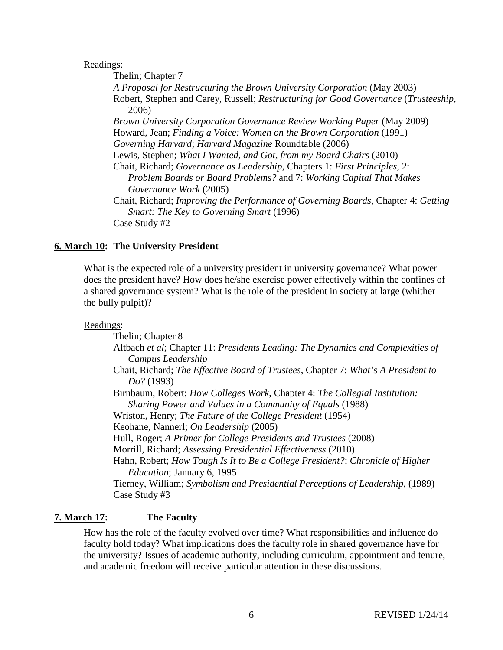#### Readings:

Thelin; Chapter 7 *A Proposal for Restructuring the Brown University Corporation* (May 2003) Robert, Stephen and Carey, Russell; *Restructuring for Good Governance* (*Trusteeship*, 2006) *Brown University Corporation Governance Review Working Paper* (May 2009) Howard, Jean; *Finding a Voice: Women on the Brown Corporation* (1991) *Governing Harvard*; *Harvard Magazine* Roundtable (2006) Lewis, Stephen; *What I Wanted, and Got, from my Board Chairs* (2010) Chait, Richard; *Governance as Leadership*, Chapters 1: *First Principles*, 2: *Problem Boards or Board Problems?* and 7: *Working Capital That Makes Governance Work* (2005) Chait, Richard; *Improving the Performance of Governing Boards*, Chapter 4: *Getting Smart: The Key to Governing Smart* (1996) Case Study #2

# **6. March 10: The University President**

What is the expected role of a university president in university governance? What power does the president have? How does he/she exercise power effectively within the confines of a shared governance system? What is the role of the president in society at large (whither the bully pulpit)?

### Readings:

Thelin; Chapter 8 Altbach *et al*; Chapter 11: *Presidents Leading: The Dynamics and Complexities of Campus Leadership* Chait, Richard; *The Effective Board of Trustees*, Chapter 7: *What's A President to Do?* (1993) Birnbaum, Robert; *How Colleges Work*, Chapter 4: *The Collegial Institution: Sharing Power and Values in a Community of Equals* (1988) Wriston, Henry; *The Future of the College President* (1954) Keohane, Nannerl; *On Leadership* (2005) Hull, Roger; *A Primer for College Presidents and Trustees* (2008) Morrill, Richard; *Assessing Presidential Effectiveness* (2010) Hahn, Robert; *How Tough Is It to Be a College President?*; *Chronicle of Higher Education*; January 6, 1995 Tierney, William; *Symbolism and Presidential Perceptions of Leadership*, (1989) Case Study #3

# **7. March 17: The Faculty**

How has the role of the faculty evolved over time? What responsibilities and influence do faculty hold today? What implications does the faculty role in shared governance have for the university? Issues of academic authority, including curriculum, appointment and tenure, and academic freedom will receive particular attention in these discussions.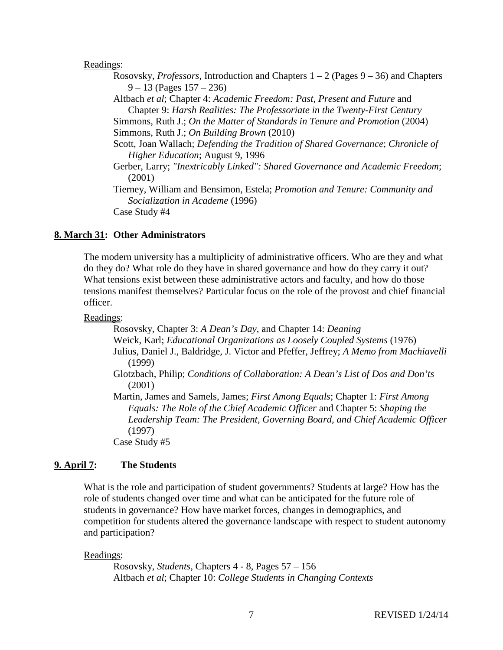#### Readings:

- Rosovsky, *Professors*, Introduction and Chapters 1 2 (Pages 9 36) and Chapters 9 – 13 (Pages 157 – 236)
- Altbach *et al*; Chapter 4: *Academic Freedom: Past, Present and Future* and Chapter 9: *Harsh Realities: The Professoriate in the Twenty-First Century*
- Simmons, Ruth J.; *On the Matter of Standards in Tenure and Promotion* (2004) Simmons, Ruth J.; *On Building Brown* (2010)
- Scott, Joan Wallach; *Defending the Tradition of Shared Governance*; *Chronicle of Higher Education*; August 9, 1996
- Gerber, Larry; *"Inextricably Linked": Shared Governance and Academic Freedom*; (2001)
- Tierney, William and Bensimon, Estela; *Promotion and Tenure: Community and Socialization in Academe* (1996) Case Study #4

#### **8. March 31: Other Administrators**

The modern university has a multiplicity of administrative officers. Who are they and what do they do? What role do they have in shared governance and how do they carry it out? What tensions exist between these administrative actors and faculty, and how do those tensions manifest themselves? Particular focus on the role of the provost and chief financial officer.

#### Readings:

Rosovsky, Chapter 3: *A Dean's Day*, and Chapter 14: *Deaning* Weick, Karl; *Educational Organizations as Loosely Coupled Systems* (1976) Julius, Daniel J., Baldridge, J. Victor and Pfeffer, Jeffrey; *A Memo from Machiavelli* (1999)

Glotzbach, Philip; *Conditions of Collaboration: A Dean's List of Dos and Don'ts* (2001)

Martin, James and Samels, James; *First Among Equals*; Chapter 1: *First Among Equals: The Role of the Chief Academic Officer* and Chapter 5: *Shaping the Leadership Team: The President, Governing Board, and Chief Academic Officer* (1997)

Case Study #5

#### **9. April 7: The Students**

What is the role and participation of student governments? Students at large? How has the role of students changed over time and what can be anticipated for the future role of students in governance? How have market forces, changes in demographics, and competition for students altered the governance landscape with respect to student autonomy and participation?

#### Readings:

Rosovsky, *Students*, Chapters 4 - 8, Pages 57 – 156 Altbach *et al*; Chapter 10: *College Students in Changing Contexts*